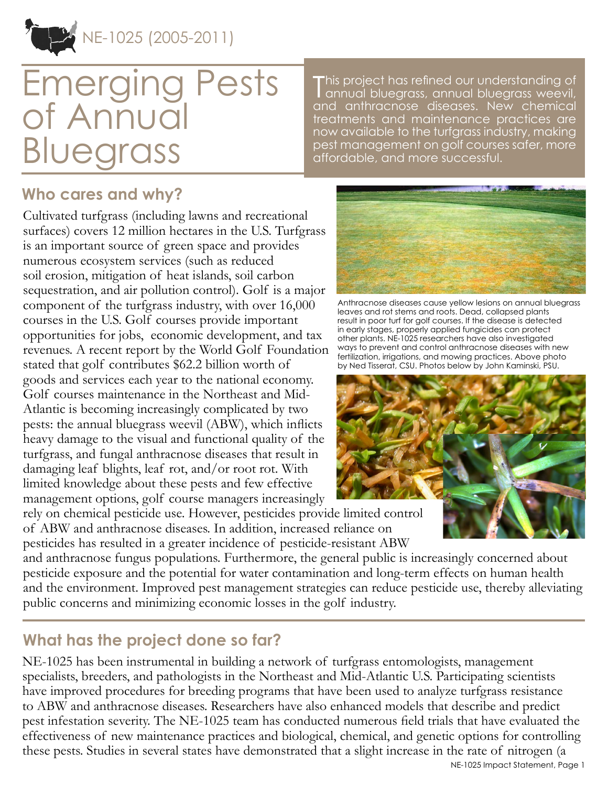

# Emerging Pests of Annual **Bluegrass**

This project has refined our understanding of<br>Tannual bluegrass, annual bluegrass weevil, annual bluegrass, annual bluegrass weevil, and anthracnose diseases. New chemical treatments and maintenance practices are now available to the turfgrass industry, making pest management on golf courses safer, more affordable, and more successful.

### **Who cares and why?**

Cultivated turfgrass (including lawns and recreational surfaces) covers 12 million hectares in the U.S. Turfgrass is an important source of green space and provides numerous ecosystem services (such as reduced soil erosion, mitigation of heat islands, soil carbon sequestration, and air pollution control). Golf is a major component of the turfgrass industry, with over 16,000 courses in the U.S. Golf courses provide important opportunities for jobs, economic development, and tax revenues. A recent report by the World Golf Foundation stated that golf contributes \$62.2 billion worth of goods and services each year to the national economy. Golf courses maintenance in the Northeast and Mid-Atlantic is becoming increasingly complicated by two pests: the annual bluegrass weevil (ABW), which inflicts heavy damage to the visual and functional quality of the turfgrass, and fungal anthracnose diseases that result in damaging leaf blights, leaf rot, and/or root rot. With limited knowledge about these pests and few effective management options, golf course managers increasingly



Anthracnose diseases cause yellow lesions on annual bluegrass leaves and rot stems and roots. Dead, collapsed plants result in poor turf for golf courses. If the disease is detected in early stages, properly applied fungicides can protect other plants. NE-1025 researchers have also investigated ways to prevent and control anthracnose diseases with new fertilization, irrigations, and mowing practices. Above photo by Ned Tisserat, CSU. Photos below by John Kaminski, PSU.



rely on chemical pesticide use. However, pesticides provide limited control of ABW and anthracnose diseases. In addition, increased reliance on pesticides has resulted in a greater incidence of pesticide-resistant ABW

and anthracnose fungus populations. Furthermore, the general public is increasingly concerned about pesticide exposure and the potential for water contamination and long-term effects on human health and the environment. Improved pest management strategies can reduce pesticide use, thereby alleviating public concerns and minimizing economic losses in the golf industry.

#### **What has the project done so far?**

NE-1025 has been instrumental in building a network of turfgrass entomologists, management specialists, breeders, and pathologists in the Northeast and Mid-Atlantic U.S. Participating scientists have improved procedures for breeding programs that have been used to analyze turfgrass resistance to ABW and anthracnose diseases. Researchers have also enhanced models that describe and predict pest infestation severity. The NE-1025 team has conducted numerous field trials that have evaluated the effectiveness of new maintenance practices and biological, chemical, and genetic options for controlling these pests. Studies in several states have demonstrated that a slight increase in the rate of nitrogen (a